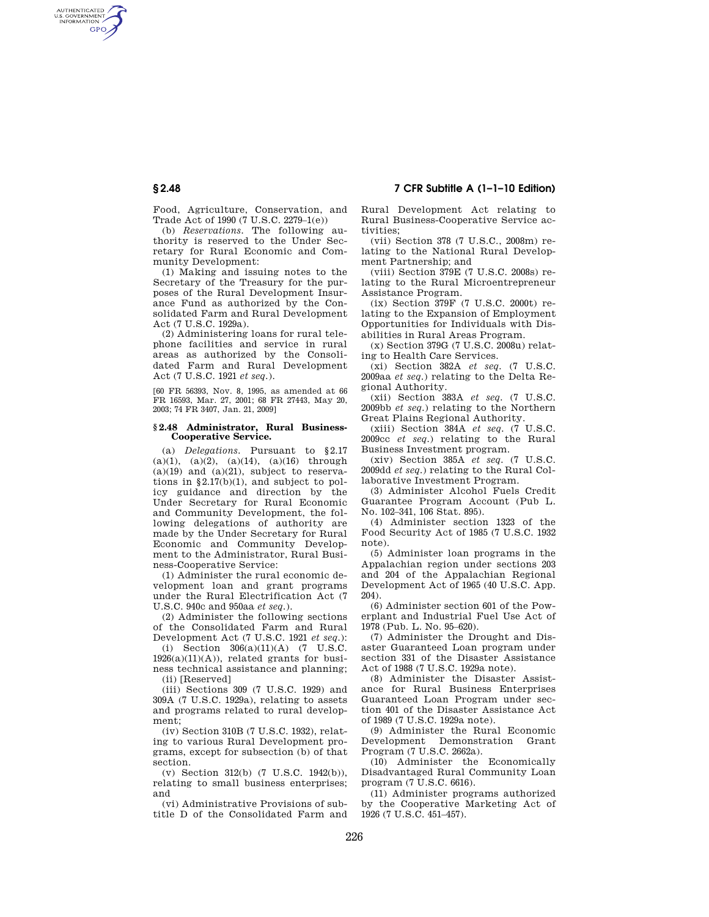# **§ 2.48 7 CFR Subtitle A (1–1–10 Edition)**

Food, Agriculture, Conservation, and Trade Act of 1990 (7 U.S.C. 2279–1(e))

(b) *Reservations.* The following authority is reserved to the Under Secretary for Rural Economic and Community Development:

(1) Making and issuing notes to the Secretary of the Treasury for the purposes of the Rural Development Insurance Fund as authorized by the Consolidated Farm and Rural Development Act (7 U.S.C. 1929a).

(2) Administering loans for rural telephone facilities and service in rural areas as authorized by the Consolidated Farm and Rural Development Act (7 U.S.C. 1921 *et seq.*).

[60 FR 56393, Nov. 8, 1995, as amended at 66 FR 16593, Mar. 27, 2001; 68 FR 27443, May 20, 2003; 74 FR 3407, Jan. 21, 2009]

#### **§ 2.48 Administrator, Rural Business-Cooperative Service.**

(a) *Delegations.* Pursuant to §2.17 (a)(1), (a)(2), (a)(14), (a)(16) through  $(a)(19)$  and  $(a)(21)$ , subject to reservations in §2.17(b)(1), and subject to policy guidance and direction by the Under Secretary for Rural Economic and Community Development, the following delegations of authority are made by the Under Secretary for Rural Economic and Community Development to the Administrator, Rural Business-Cooperative Service:

(1) Administer the rural economic development loan and grant programs under the Rural Electrification Act (7 U.S.C. 940c and 950aa *et seq.*).

(2) Administer the following sections of the Consolidated Farm and Rural Development Act (7 U.S.C. 1921 *et seq.*):

(i) Section 306(a)(11)(A) (7 U.S.C.  $1926(a)(11)(A)$ , related grants for business technical assistance and planning; (ii) [Reserved]

(iii) Sections 309 (7 U.S.C. 1929) and 309A (7 U.S.C. 1929a), relating to assets and programs related to rural development;

(iv) Section 310B (7 U.S.C. 1932), relating to various Rural Development programs, except for subsection (b) of that section.

(v) Section 312(b) (7 U.S.C. 1942(b)), relating to small business enterprises; and

(vi) Administrative Provisions of subtitle D of the Consolidated Farm and Rural Development Act relating to Rural Business-Cooperative Service activities;

(vii) Section 378 (7 U.S.C., 2008m) relating to the National Rural Development Partnership; and

(viii) Section 379E (7 U.S.C. 2008s) relating to the Rural Microentrepreneur Assistance Program.

(ix) Section 379F (7 U.S.C. 2000t) relating to the Expansion of Employment Opportunities for Individuals with Disabilities in Rural Areas Program.

(x) Section 379G (7 U.S.C. 2008u) relating to Health Care Services.

(xi) Section 382A *et seq.* (7 U.S.C. 2009aa *et seq.*) relating to the Delta Regional Authority.

(xii) Section 383A *et seq.* (7 U.S.C. 2009bb *et seq.*) relating to the Northern Great Plains Regional Authority.

(xiii) Section 384A *et seq.* (7 U.S.C. 2009cc *et seq.*) relating to the Rural Business Investment program.

(xiv) Section 385A *et seq.* (7 U.S.C. 2009dd *et seq.*) relating to the Rural Collaborative Investment Program.

(3) Administer Alcohol Fuels Credit Guarantee Program Account (Pub L. No. 102–341, 106 Stat. 895).

(4) Administer section 1323 of the Food Security Act of 1985 (7 U.S.C. 1932 note).

(5) Administer loan programs in the Appalachian region under sections 203 and 204 of the Appalachian Regional Development Act of 1965 (40 U.S.C. App. 204).

(6) Administer section 601 of the Powerplant and Industrial Fuel Use Act of 1978 (Pub. L. No. 95–620).

(7) Administer the Drought and Disaster Guaranteed Loan program under section 331 of the Disaster Assistance Act of 1988 (7 U.S.C. 1929a note).

(8) Administer the Disaster Assistance for Rural Business Enterprises Guaranteed Loan Program under section 401 of the Disaster Assistance Act of 1989 (7 U.S.C. 1929a note).

(9) Administer the Rural Economic Development Demonstration Grant Program (7 U.S.C. 2662a).

(10) Administer the Economically Disadvantaged Rural Community Loan program (7 U.S.C. 6616).

(11) Administer programs authorized by the Cooperative Marketing Act of 1926 (7 U.S.C. 451–457).

AUTHENTICATED<br>U.S. GOVERNMENT<br>INFORMATION **GPO**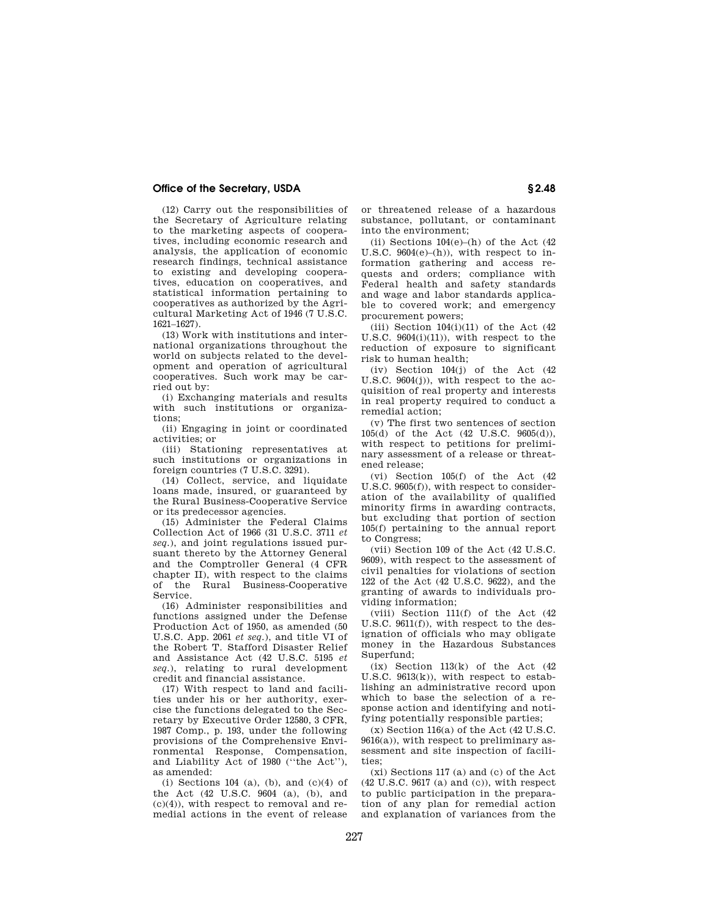# **Office of the Secretary, USDA § 2.48**

(12) Carry out the responsibilities of the Secretary of Agriculture relating to the marketing aspects of cooperatives, including economic research and analysis, the application of economic research findings, technical assistance to existing and developing cooperatives, education on cooperatives, and statistical information pertaining to cooperatives as authorized by the Agricultural Marketing Act of 1946 (7 U.S.C. 1621–1627).

(13) Work with institutions and international organizations throughout the world on subjects related to the development and operation of agricultural cooperatives. Such work may be carried out by:

(i) Exchanging materials and results with such institutions or organizations;

(ii) Engaging in joint or coordinated activities; or

(iii) Stationing representatives at such institutions or organizations in foreign countries (7 U.S.C. 3291).

(14) Collect, service, and liquidate loans made, insured, or guaranteed by the Rural Business-Cooperative Service or its predecessor agencies.

(15) Administer the Federal Claims Collection Act of 1966 (31 U.S.C. 3711 *et seq.*), and joint regulations issued pursuant thereto by the Attorney General and the Comptroller General (4 CFR chapter II), with respect to the claims of the Rural Business-Cooperative Service.

(16) Administer responsibilities and functions assigned under the Defense Production Act of 1950, as amended (50 U.S.C. App. 2061 *et seq.*), and title VI of the Robert T. Stafford Disaster Relief and Assistance Act (42 U.S.C. 5195 *et seq.*), relating to rural development credit and financial assistance.

(17) With respect to land and facilities under his or her authority, exercise the functions delegated to the Secretary by Executive Order 12580, 3 CFR, 1987 Comp., p. 193, under the following provisions of the Comprehensive Environmental Response, Compensation, and Liability Act of 1980 (''the Act''), as amended:

(i) Sections 104 (a), (b), and  $(c)(4)$  of the Act (42 U.S.C. 9604 (a), (b), and (c)(4)), with respect to removal and remedial actions in the event of release

or threatened release of a hazardous substance, pollutant, or contaminant into the environment;

(ii) Sections  $104(e)$ –(h) of the Act (42 U.S.C.  $9604(e)$ –(h)), with respect to information gathering and access requests and orders; compliance with Federal health and safety standards and wage and labor standards applicable to covered work; and emergency procurement powers;

(iii) Section  $104(i)(11)$  of the Act  $(42)$ U.S.C. 9604(i)(11)), with respect to the reduction of exposure to significant risk to human health;

(iv) Section  $104(j)$  of the Act  $(42)$ U.S.C. 9604(j)), with respect to the acquisition of real property and interests in real property required to conduct a remedial action;

(v) The first two sentences of section 105(d) of the Act (42 U.S.C. 9605(d)), with respect to petitions for preliminary assessment of a release or threatened release;

(vi) Section 105(f) of the Act (42 U.S.C. 9605(f)), with respect to consideration of the availability of qualified minority firms in awarding contracts, but excluding that portion of section 105(f) pertaining to the annual report to Congress;

(vii) Section 109 of the Act (42 U.S.C. 9609), with respect to the assessment of civil penalties for violations of section 122 of the Act (42 U.S.C. 9622), and the granting of awards to individuals providing information;

(viii) Section 111(f) of the Act (42 U.S.C. 9611(f)), with respect to the designation of officials who may obligate money in the Hazardous Substances Superfund;

 $(ix)$  Section 113 $(k)$  of the Act  $(42)$ U.S.C. 9613(k)), with respect to establishing an administrative record upon which to base the selection of a response action and identifying and notifying potentially responsible parties;

 $(x)$  Section 116(a) of the Act (42 U.S.C.  $9616(a)$ , with respect to preliminary assessment and site inspection of facilities;

(xi) Sections 117 (a) and (c) of the Act  $(42 \text{ U.S.C. } 9617 \text{ (a) and (c))},$  with respect to public participation in the preparation of any plan for remedial action and explanation of variances from the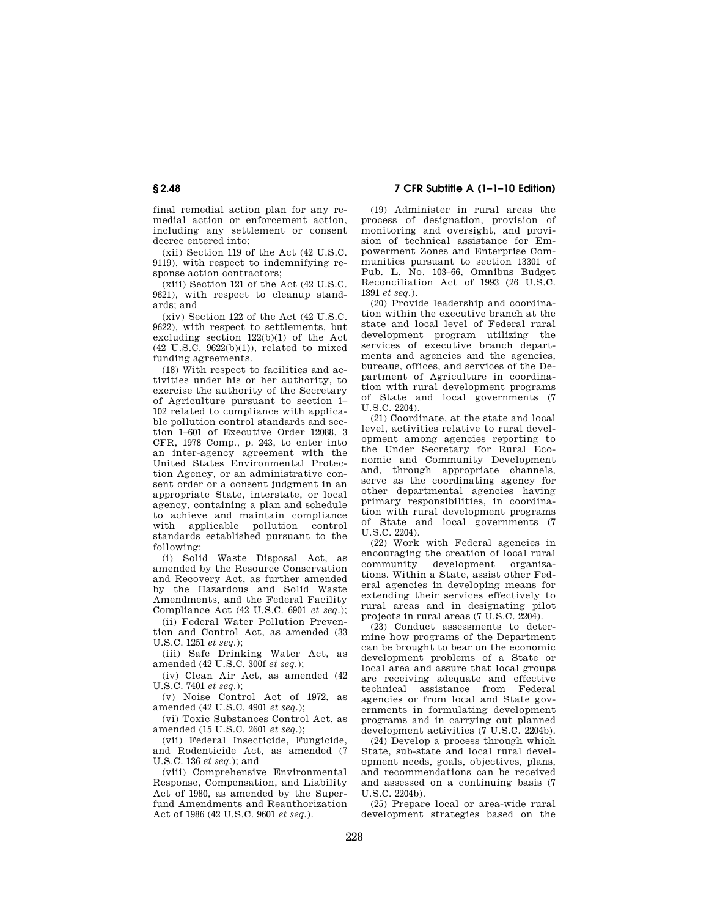final remedial action plan for any remedial action or enforcement action, including any settlement or consent decree entered into;

(xii) Section 119 of the Act (42 U.S.C. 9119), with respect to indemnifying response action contractors;

(xiii) Section 121 of the Act (42 U.S.C. 9621), with respect to cleanup standards; and

(xiv) Section 122 of the Act (42 U.S.C. 9622), with respect to settlements, but excluding section 122(b)(1) of the Act  $(42 \text{ U.S.C. } 9622(b)(1)),$  related to mixed funding agreements.

(18) With respect to facilities and activities under his or her authority, to exercise the authority of the Secretary of Agriculture pursuant to section 1– 102 related to compliance with applicable pollution control standards and section 1–601 of Executive Order 12088, 3 CFR, 1978 Comp., p. 243, to enter into an inter-agency agreement with the United States Environmental Protection Agency, or an administrative consent order or a consent judgment in an appropriate State, interstate, or local agency, containing a plan and schedule to achieve and maintain compliance with applicable pollution control standards established pursuant to the following:

(i) Solid Waste Disposal Act, as amended by the Resource Conservation and Recovery Act, as further amended by the Hazardous and Solid Waste Amendments, and the Federal Facility Compliance Act (42 U.S.C. 6901 *et seq.*);

(ii) Federal Water Pollution Prevention and Control Act, as amended (33 U.S.C. 1251 *et seq.*);

(iii) Safe Drinking Water Act, as amended (42 U.S.C. 300f *et seq.*);

(iv) Clean Air Act, as amended (42 U.S.C. 7401 *et seq.*);

(v) Noise Control Act of 1972, as amended (42 U.S.C. 4901 *et seq.*);

(vi) Toxic Substances Control Act, as amended (15 U.S.C. 2601 *et seq.*);

(vii) Federal Insecticide, Fungicide, and Rodenticide Act, as amended (7 U.S.C. 136 *et seq.*); and

(viii) Comprehensive Environmental Response, Compensation, and Liability Act of 1980, as amended by the Superfund Amendments and Reauthorization Act of 1986 (42 U.S.C. 9601 *et seq.*).

**§ 2.48 7 CFR Subtitle A (1–1–10 Edition)** 

(19) Administer in rural areas the process of designation, provision of monitoring and oversight, and provision of technical assistance for Empowerment Zones and Enterprise Communities pursuant to section 13301 of Pub. L. No. 103–66, Omnibus Budget Reconciliation Act of 1993 (26 U.S.C. 1391 *et seq.*).

(20) Provide leadership and coordination within the executive branch at the state and local level of Federal rural development program utilizing the services of executive branch departments and agencies and the agencies, bureaus, offices, and services of the Department of Agriculture in coordination with rural development programs of State and local governments (7  $U.S. C. 2204$ 

(21) Coordinate, at the state and local level, activities relative to rural development among agencies reporting to the Under Secretary for Rural Economic and Community Development and, through appropriate channels, serve as the coordinating agency for other departmental agencies having primary responsibilities, in coordination with rural development programs of State and local governments (7 U.S.C. 2204).

(22) Work with Federal agencies in encouraging the creation of local rural community development organizations. Within a State, assist other Federal agencies in developing means for extending their services effectively to rural areas and in designating pilot projects in rural areas (7 U.S.C. 2204).

(23) Conduct assessments to determine how programs of the Department can be brought to bear on the economic development problems of a State or local area and assure that local groups are receiving adequate and effective technical assistance from Federal agencies or from local and State governments in formulating development programs and in carrying out planned development activities (7 U.S.C. 2204b).

(24) Develop a process through which State, sub-state and local rural development needs, goals, objectives, plans, and recommendations can be received and assessed on a continuing basis (7  $U.S.C. 2204<sub>b</sub>$ 

(25) Prepare local or area-wide rural development strategies based on the